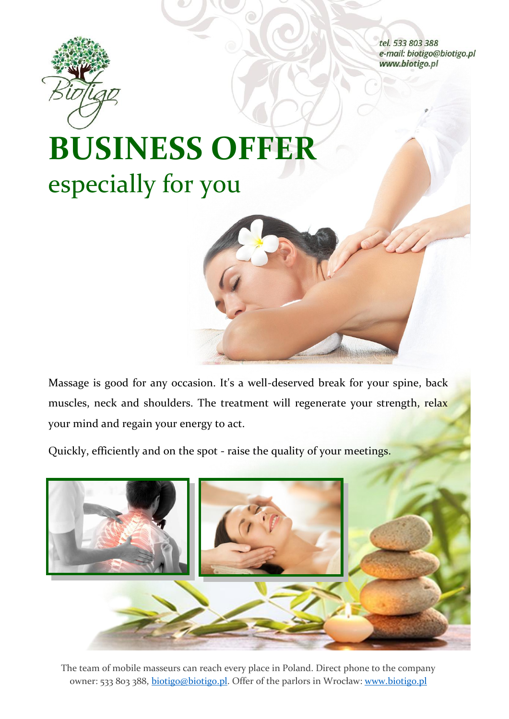

tel. 533 803 388 e-mail: biotigo@biotigo.pl www.biotigo.pl

## **BUSINESS OFFER** especially for you

Massage is good for any occasion. It's a well-deserved break for your spine, back muscles, neck and shoulders. The treatment will regenerate your strength, relax your mind and regain your energy to act.

Quickly, efficiently and on the spot - raise the quality of your meetings.



The team of mobile masseurs can reach every place in Poland. Direct phone to the company owner: 533 803 388, biotigo@biotigo.pl. Offer of the parlors in Wrocław: www.biotigo.pl